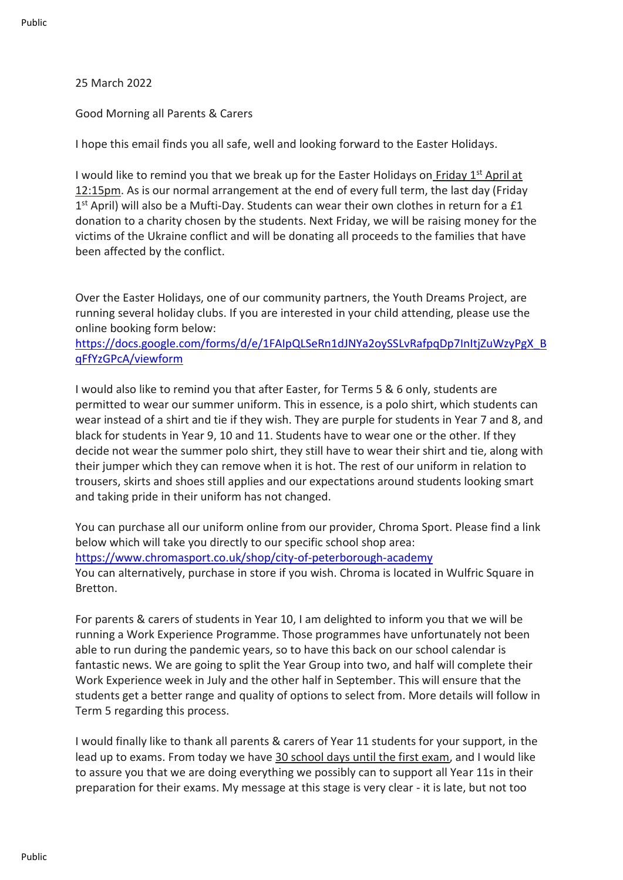## 25 March 2022

Good Morning all Parents & Carers

I hope this email finds you all safe, well and looking forward to the Easter Holidays.

I would like to remind you that we break up for the Easter Holidays on Friday  $1<sup>st</sup>$  April at 12:15pm. As is our normal arrangement at the end of every full term, the last day (Friday 1<sup>st</sup> April) will also be a Mufti-Day. Students can wear their own clothes in return for a £1 donation to a charity chosen by the students. Next Friday, we will be raising money for the victims of the Ukraine conflict and will be donating all proceeds to the families that have been affected by the conflict.

Over the Easter Holidays, one of our community partners, the Youth Dreams Project, are running several holiday clubs. If you are interested in your child attending, please use the online booking form below:

[https://docs.google.com/forms/d/e/1FAIpQLSeRn1dJNYa2oySSLvRafpqDp7InItjZuWzyPgX\\_B](https://eur01.safelinks.protection.outlook.com/?url=http%3A%2F%2Femail.groupcallalert.com%2Fls%2Fclick%3Fupn%3D2HyDlIbodyfRwvoBYM4682nki-2FaAqcPffgVoIHq-2FkJzABxUwDghM84GMKQSN-2F92aHTxv7HAu8NsqArIc58HnuxF7ZMIgvqv9jAOdqKmnpCa9KW0-2BYwFg-2BMHABMIDAVPn0hHOMK4ZKqV3JIO80jeRLg-3D-3DlQKv_7ly8V3WGHVLWVL0T-2FPGgZCp4IDQyJNtfyv-2FZ0g1MqbXPq0EUVbggHg-2F9Bk1EEZbwXpVOTywhFX3W9vS29UyEFh4u1CPhFanOhbWzhDb1Hi5cBhFW8HzS0b3BXBj1wg8AzqjoAM0Wo8enZTtTRCJWzPjOot8uWh3iy4bHTDujWDb1-2BZVL8rKPXABNX0bqIO74bwdCjhRRFhNeR6r4EamJhiyG20A0xJkbwJfHBPXwI4ruAD4JJhryGwIhkD0NG5QrnByiACjfyCn85kwcomnHO3zhOxkzUsCJO0LbqSlFooJ5p7LcqqiYGUUI5a6IcsJ7ag6A-2BMYSischy1j55PgKnnx-2Bnsuvv2-2FqBNsOVqepuXVsRomQK8U-2FRLXRno26KIGTaN-2B15wODyQPrcQI-2BBWjFOwHLWPxMXec75NhyuJztAss-3D&data=04%7C01%7Calauch%40cityofpeterboroughacademy.org%7Cd682dac6e0d2489d972208da0e3f5ab1%7Ca091745ab7d84d7ab2a61359053d4510%7C0%7C0%7C637837962515427900%7CUnknown%7CTWFpbGZsb3d8eyJWIjoiMC4wLjAwMDAiLCJQIjoiV2luMzIiLCJBTiI6Ik1haWwiLCJXVCI6Mn0%3D%7C3000&sdata=T0Y1fXn%2BNpqHLPBekPCam%2BtYRluAgQQXHlbzCX2xs%2Fs%3D&reserved=0) [qFfYzGPcA/viewform](https://eur01.safelinks.protection.outlook.com/?url=http%3A%2F%2Femail.groupcallalert.com%2Fls%2Fclick%3Fupn%3D2HyDlIbodyfRwvoBYM4682nki-2FaAqcPffgVoIHq-2FkJzABxUwDghM84GMKQSN-2F92aHTxv7HAu8NsqArIc58HnuxF7ZMIgvqv9jAOdqKmnpCa9KW0-2BYwFg-2BMHABMIDAVPn0hHOMK4ZKqV3JIO80jeRLg-3D-3DlQKv_7ly8V3WGHVLWVL0T-2FPGgZCp4IDQyJNtfyv-2FZ0g1MqbXPq0EUVbggHg-2F9Bk1EEZbwXpVOTywhFX3W9vS29UyEFh4u1CPhFanOhbWzhDb1Hi5cBhFW8HzS0b3BXBj1wg8AzqjoAM0Wo8enZTtTRCJWzPjOot8uWh3iy4bHTDujWDb1-2BZVL8rKPXABNX0bqIO74bwdCjhRRFhNeR6r4EamJhiyG20A0xJkbwJfHBPXwI4ruAD4JJhryGwIhkD0NG5QrnByiACjfyCn85kwcomnHO3zhOxkzUsCJO0LbqSlFooJ5p7LcqqiYGUUI5a6IcsJ7ag6A-2BMYSischy1j55PgKnnx-2Bnsuvv2-2FqBNsOVqepuXVsRomQK8U-2FRLXRno26KIGTaN-2B15wODyQPrcQI-2BBWjFOwHLWPxMXec75NhyuJztAss-3D&data=04%7C01%7Calauch%40cityofpeterboroughacademy.org%7Cd682dac6e0d2489d972208da0e3f5ab1%7Ca091745ab7d84d7ab2a61359053d4510%7C0%7C0%7C637837962515427900%7CUnknown%7CTWFpbGZsb3d8eyJWIjoiMC4wLjAwMDAiLCJQIjoiV2luMzIiLCJBTiI6Ik1haWwiLCJXVCI6Mn0%3D%7C3000&sdata=T0Y1fXn%2BNpqHLPBekPCam%2BtYRluAgQQXHlbzCX2xs%2Fs%3D&reserved=0)

I would also like to remind you that after Easter, for Terms 5 & 6 only, students are permitted to wear our summer uniform. This in essence, is a polo shirt, which students can wear instead of a shirt and tie if they wish. They are purple for students in Year 7 and 8, and black for students in Year 9, 10 and 11. Students have to wear one or the other. If they decide not wear the summer polo shirt, they still have to wear their shirt and tie, along with their jumper which they can remove when it is hot. The rest of our uniform in relation to trousers, skirts and shoes still applies and our expectations around students looking smart and taking pride in their uniform has not changed.

You can purchase all our uniform online from our provider, Chroma Sport. Please find a link below which will take you directly to our specific school shop area: [https://www.chromasport.co.uk/shop/city-of-peterborough-academy](https://eur01.safelinks.protection.outlook.com/?url=http%3A%2F%2Femail.groupcallalert.com%2Fls%2Fclick%3Fupn%3DQrOBJcca7DQpcdTvZvGK8cku9X4-2BzXE-2FrticlhPo5D-2BI34DeXc2egRA-2FZ7qR5FKJhNd4el90CXJM1N0vG3KvIQVx8azaV586Yr3KjYvKDSk-3Ddf42_7ly8V3WGHVLWVL0T-2FPGgZCp4IDQyJNtfyv-2FZ0g1MqbXPq0EUVbggHg-2F9Bk1EEZbwXpVOTywhFX3W9vS29UyEFh4u1CPhFanOhbWzhDb1Hi5cBhFW8HzS0b3BXBj1wg8AzqjoAM0Wo8enZTtTRCJWzPjOot8uWh3iy4bHTDujWDb1-2BZVL8rKPXABNX0bqIO74bwdCjhRRFhNeR6r4EamJhiyG20A0xJkbwJfHBPXwI4ruAD4JJhryGwIhkD0NG5QrnByiACjfyCn85kwcomnHOy4eW3sNoKfBdUTZ1vC-2FI3fkFp996xi1J5wuDIRKiq5yr4oIs70jBno0f7ZY4wDBXft3atiK9tjpaAcNy8FMdVJ8LBxNFnxZpesFZ4PNnAdFpy7Xtk6lT7fV48vCMB2fLWf1qAlx9zB9Ao8JfrEWM4Q-3D&data=04%7C01%7Calauch%40cityofpeterboroughacademy.org%7Cd682dac6e0d2489d972208da0e3f5ab1%7Ca091745ab7d84d7ab2a61359053d4510%7C0%7C0%7C637837962515427900%7CUnknown%7CTWFpbGZsb3d8eyJWIjoiMC4wLjAwMDAiLCJQIjoiV2luMzIiLCJBTiI6Ik1haWwiLCJXVCI6Mn0%3D%7C3000&sdata=pkD9kwg9MP2bcKDNI8CyaJJvCQrMwc6abt1fthJqoKk%3D&reserved=0) You can alternatively, purchase in store if you wish. Chroma is located in Wulfric Square in Bretton.

For parents & carers of students in Year 10, I am delighted to inform you that we will be running a Work Experience Programme. Those programmes have unfortunately not been able to run during the pandemic years, so to have this back on our school calendar is fantastic news. We are going to split the Year Group into two, and half will complete their Work Experience week in July and the other half in September. This will ensure that the students get a better range and quality of options to select from. More details will follow in Term 5 regarding this process.

I would finally like to thank all parents & carers of Year 11 students for your support, in the lead up to exams. From today we have 30 school days until the first exam, and I would like to assure you that we are doing everything we possibly can to support all Year 11s in their preparation for their exams. My message at this stage is very clear - it is late, but not too